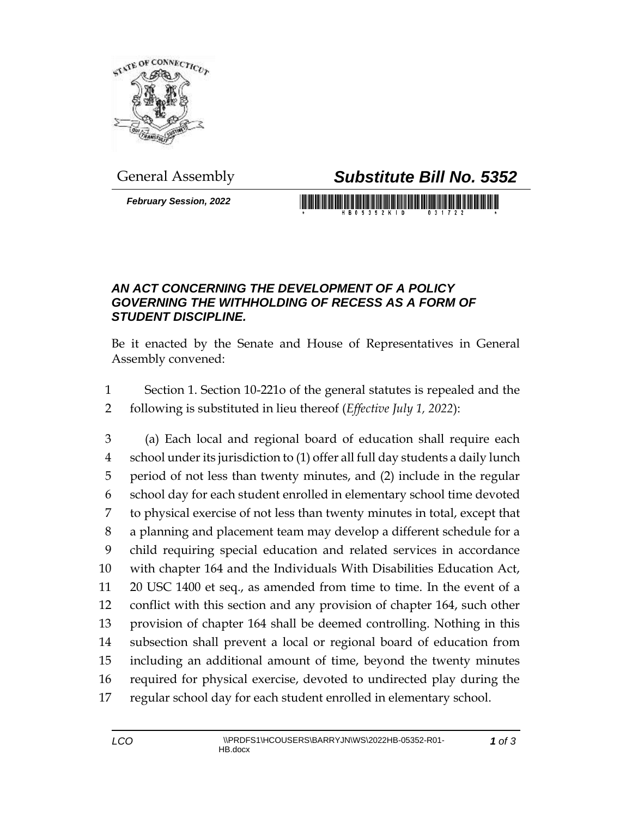

## General Assembly *Substitute Bill No. 5352*

*February Session, 2022*

## 

## *AN ACT CONCERNING THE DEVELOPMENT OF A POLICY GOVERNING THE WITHHOLDING OF RECESS AS A FORM OF STUDENT DISCIPLINE.*

Be it enacted by the Senate and House of Representatives in General Assembly convened:

- Section 1. Section 10-221o of the general statutes is repealed and the
- following is substituted in lieu thereof (*Effective July 1, 2022*):

 (a) Each local and regional board of education shall require each school under its jurisdiction to (1) offer all full day students a daily lunch period of not less than twenty minutes, and (2) include in the regular school day for each student enrolled in elementary school time devoted to physical exercise of not less than twenty minutes in total, except that a planning and placement team may develop a different schedule for a child requiring special education and related services in accordance with chapter 164 and the Individuals With Disabilities Education Act, 20 USC 1400 et seq., as amended from time to time. In the event of a conflict with this section and any provision of chapter 164, such other provision of chapter 164 shall be deemed controlling. Nothing in this subsection shall prevent a local or regional board of education from including an additional amount of time, beyond the twenty minutes required for physical exercise, devoted to undirected play during the regular school day for each student enrolled in elementary school.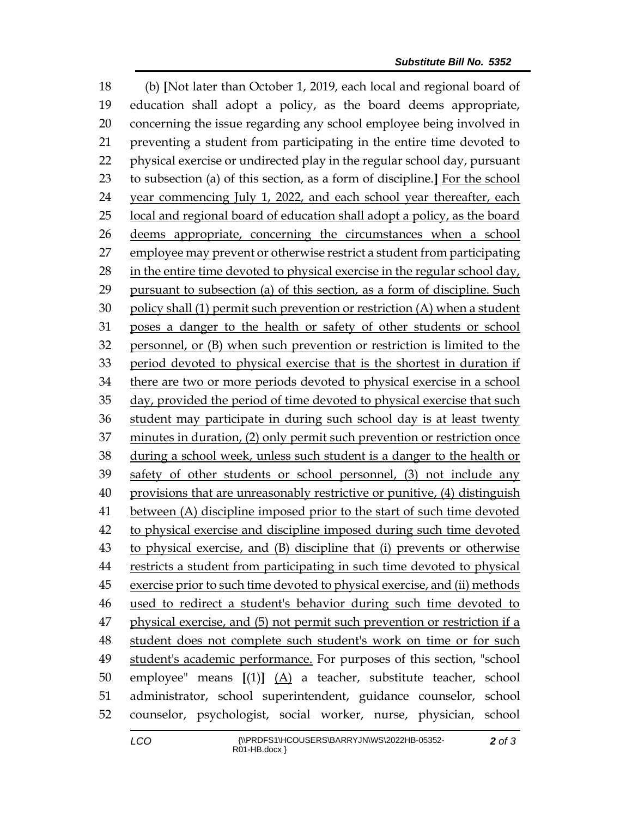(b) **[**Not later than October 1, 2019, each local and regional board of education shall adopt a policy, as the board deems appropriate, concerning the issue regarding any school employee being involved in preventing a student from participating in the entire time devoted to physical exercise or undirected play in the regular school day, pursuant to subsection (a) of this section, as a form of discipline.**]** For the school year commencing July 1, 2022, and each school year thereafter, each local and regional board of education shall adopt a policy, as the board deems appropriate, concerning the circumstances when a school employee may prevent or otherwise restrict a student from participating in the entire time devoted to physical exercise in the regular school day, pursuant to subsection (a) of this section, as a form of discipline. Such policy shall (1) permit such prevention or restriction (A) when a student poses a danger to the health or safety of other students or school personnel, or (B) when such prevention or restriction is limited to the period devoted to physical exercise that is the shortest in duration if there are two or more periods devoted to physical exercise in a school day, provided the period of time devoted to physical exercise that such student may participate in during such school day is at least twenty minutes in duration, (2) only permit such prevention or restriction once during a school week, unless such student is a danger to the health or safety of other students or school personnel, (3) not include any provisions that are unreasonably restrictive or punitive, (4) distinguish between (A) discipline imposed prior to the start of such time devoted to physical exercise and discipline imposed during such time devoted to physical exercise, and (B) discipline that (i) prevents or otherwise restricts a student from participating in such time devoted to physical exercise prior to such time devoted to physical exercise, and (ii) methods used to redirect a student's behavior during such time devoted to physical exercise, and (5) not permit such prevention or restriction if a 48 student does not complete such student's work on time or for such student's academic performance. For purposes of this section, "school employee" means **[**(1)**]** (A) a teacher, substitute teacher, school administrator, school superintendent, guidance counselor, school counselor, psychologist, social worker, nurse, physician, school